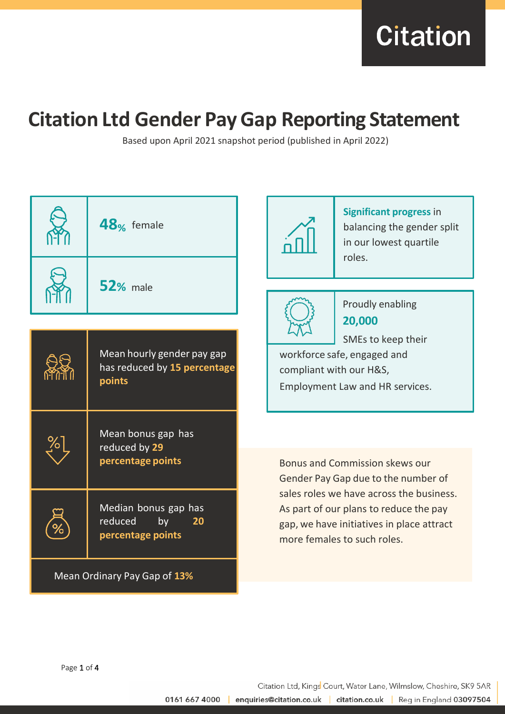**Citation** 

# **Citation Ltd Gender PayGap Reporting Statement**

Based upon April 2021 snapshot period (published in April 2022)

|                              | 48 <sub>%</sub> female                                               |                                                                                                                                                                | <b>Significant progress in</b><br>balancing the gender split<br>in our lowest quartile<br>roles. |  |
|------------------------------|----------------------------------------------------------------------|----------------------------------------------------------------------------------------------------------------------------------------------------------------|--------------------------------------------------------------------------------------------------|--|
|                              | <b>52%</b> male                                                      |                                                                                                                                                                | Proudly enabling                                                                                 |  |
|                              |                                                                      |                                                                                                                                                                | 20,000                                                                                           |  |
|                              | Mean hourly gender pay gap<br>has reduced by 15 percentage<br>points | SMEs to keep their<br>workforce safe, engaged and<br>compliant with our H&S,<br>Employment Law and HR services.                                                |                                                                                                  |  |
|                              | Mean bonus gap has<br>reduced by 29<br>percentage points             |                                                                                                                                                                | <b>Bonus and Commission skews our</b><br>Gender Pay Gap due to the number of                     |  |
|                              | Median bonus gap has<br>reduced<br>by<br>20<br>percentage points     | sales roles we have across the business.<br>As part of our plans to reduce the pay<br>gap, we have initiatives in place attract<br>more females to such roles. |                                                                                                  |  |
| Mean Ordinary Pay Gap of 13% |                                                                      |                                                                                                                                                                |                                                                                                  |  |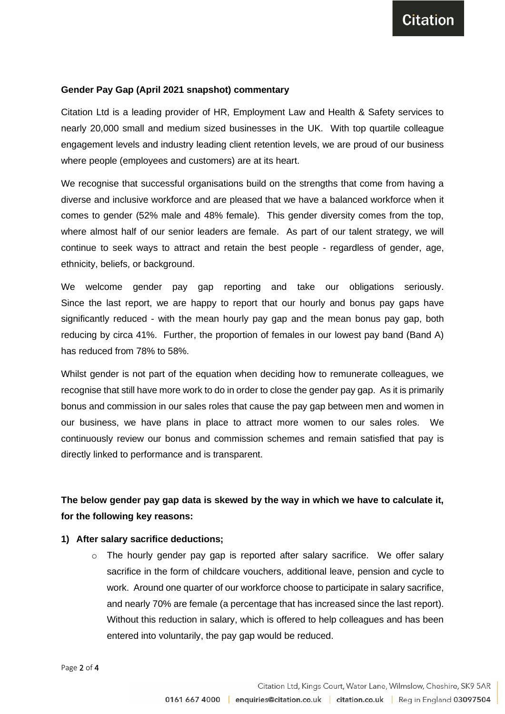### **Gender Pay Gap (April 2021 snapshot) commentary**

Citation Ltd is a leading provider of HR, Employment Law and Health & Safety services to nearly 20,000 small and medium sized businesses in the UK. With top quartile colleague engagement levels and industry leading client retention levels, we are proud of our business where people (employees and customers) are at its heart.

We recognise that successful organisations build on the strengths that come from having a diverse and inclusive workforce and are pleased that we have a balanced workforce when it comes to gender (52% male and 48% female). This gender diversity comes from the top, where almost half of our senior leaders are female. As part of our talent strategy, we will continue to seek ways to attract and retain the best people - regardless of gender, age, ethnicity, beliefs, or background.

We welcome gender pay gap reporting and take our obligations seriously. Since the last report, we are happy to report that our hourly and bonus pay gaps have significantly reduced - with the mean hourly pay gap and the mean bonus pay gap, both reducing by circa 41%. Further, the proportion of females in our lowest pay band (Band A) has reduced from 78% to 58%.

Whilst gender is not part of the equation when deciding how to remunerate colleagues, we recognise that still have more work to do in order to close the gender pay gap. As it is primarily bonus and commission in our sales roles that cause the pay gap between men and women in our business, we have plans in place to attract more women to our sales roles. We continuously review our bonus and commission schemes and remain satisfied that pay is directly linked to performance and is transparent.

# **The below gender pay gap data is skewed by the way in which we have to calculate it, for the following key reasons:**

# **1) After salary sacrifice deductions;**

o The hourly gender pay gap is reported after salary sacrifice. We offer salary sacrifice in the form of childcare vouchers, additional leave, pension and cycle to work. Around one quarter of our workforce choose to participate in salary sacrifice, and nearly 70% are female (a percentage that has increased since the last report). Without this reduction in salary, which is offered to help colleagues and has been entered into voluntarily, the pay gap would be reduced.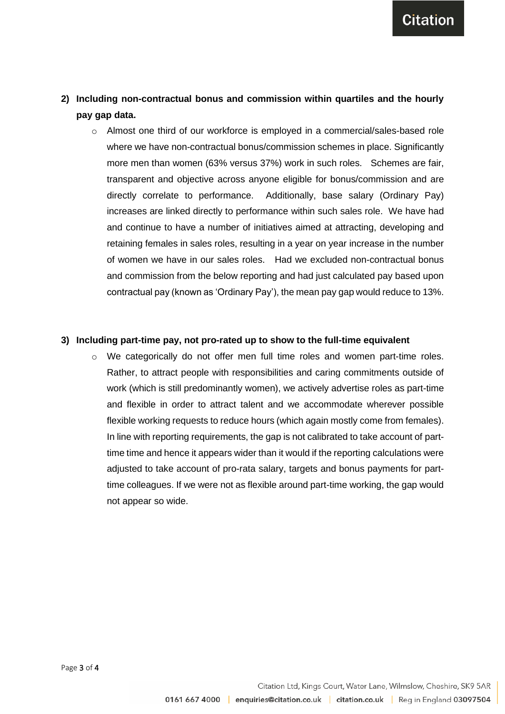**Citation** 

# **2) Including non-contractual bonus and commission within quartiles and the hourly pay gap data.**

 $\circ$  Almost one third of our workforce is employed in a commercial/sales-based role where we have non-contractual bonus/commission schemes in place. Significantly more men than women (63% versus 37%) work in such roles. Schemes are fair, transparent and objective across anyone eligible for bonus/commission and are directly correlate to performance. Additionally, base salary (Ordinary Pay) increases are linked directly to performance within such sales role. We have had and continue to have a number of initiatives aimed at attracting, developing and retaining females in sales roles, resulting in a year on year increase in the number of women we have in our sales roles. Had we excluded non-contractual bonus and commission from the below reporting and had just calculated pay based upon contractual pay (known as 'Ordinary Pay'), the mean pay gap would reduce to 13%.

#### **3) Including part-time pay, not pro-rated up to show to the full-time equivalent**

 $\circ$  We categorically do not offer men full time roles and women part-time roles. Rather, to attract people with responsibilities and caring commitments outside of work (which is still predominantly women), we actively advertise roles as part-time and flexible in order to attract talent and we accommodate wherever possible flexible working requests to reduce hours (which again mostly come from females). In line with reporting requirements, the gap is not calibrated to take account of parttime time and hence it appears wider than it would if the reporting calculations were adjusted to take account of pro-rata salary, targets and bonus payments for parttime colleagues. If we were not as flexible around part-time working, the gap would not appear so wide.